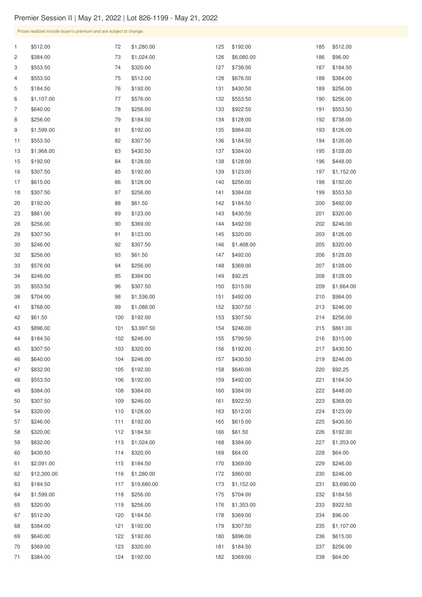| $\mathbf{1}$ | \$512.00    | 72  | \$1,280.00  | 125 | \$192.00   | 185 | \$512.00   |
|--------------|-------------|-----|-------------|-----|------------|-----|------------|
| 2            | \$384.00    | 73  | \$1,024.00  | 126 | \$6,080.00 | 186 | \$96.00    |
| 3            | \$553.50    | 74  | \$320.00    | 127 | \$738.00   | 187 | \$184.50   |
| 4            | \$553.50    | 75  | \$512.00    | 128 | \$676.50   | 188 | \$384.00   |
| 5            | \$184.50    | 76  | \$192.00    | 131 | \$430.50   | 189 | \$256.00   |
| 6            | \$1,107.00  | 77  | \$576.00    | 132 | \$553.50   | 190 | \$256.00   |
| 7            | \$640.00    | 78  | \$256.00    | 133 | \$922.50   | 191 | \$553.50   |
| 8            | \$256.00    | 79  | \$184.50    | 134 | \$128.00   | 192 | \$738.00   |
| 9            | \$1,599.00  | 81  | \$192.00    | 135 | \$984.00   | 193 | \$126.00   |
| 11           | \$553.50    | 82  | \$307.50    | 136 | \$184.50   | 194 | \$126.00   |
| 13           | \$1,968.00  | 83  | \$430.50    | 137 | \$384.00   | 195 | \$128.00   |
| 15           | \$192.00    | 84  | \$128.00    | 138 | \$128.00   | 196 | \$448.00   |
| 16           | \$307.50    | 85  | \$192.00    | 139 | \$123.00   | 197 | \$1,152.00 |
| 17           | \$615.00    | 86  | \$128.00    | 140 | \$256.00   | 198 | \$192.00   |
| 18           | \$307.50    | 87  | \$256.00    | 141 | \$384.00   | 199 | \$553.50   |
| 20           | \$192.00    | 88  | \$61.50     | 142 | \$184.50   | 200 | \$492.00   |
| 23           | \$861.00    | 89  | \$123.00    | 143 | \$430.50   | 201 | \$320.00   |
| 28           | \$256.00    | 90  | \$369.00    | 144 | \$492.00   | 202 | \$246.00   |
| 29           | \$307.50    | 91  | \$123.00    | 145 | \$320.00   | 203 | \$126.00   |
| 30           | \$246.00    | 92  | \$307.50    | 146 | \$1,408.00 | 205 | \$320.00   |
| 32           | \$256.00    | 93  | \$61.50     | 147 | \$492.00   | 206 | \$128.00   |
| 33           | \$576.00    | 94  | \$256.00    | 148 | \$369.00   | 207 | \$128.00   |
| 34           | \$246.00    | 95  | \$384.00    | 149 | \$92.25    | 208 | \$128.00   |
| 35           | \$553.50    | 96  | \$307.50    | 150 | \$315.00   | 209 | \$1,664.00 |
| 38           | \$704.00    | 98  | \$1,536.00  | 151 | \$492.00   | 210 | \$984.00   |
| 41           | \$768.00    | 99  | \$1,088.00  | 152 | \$307.50   | 213 | \$246.00   |
| 42           | \$61.50     | 100 | \$192.00    | 153 | \$307.50   | 214 | \$256.00   |
| 43           | \$896.00    | 101 | \$3,997.50  | 154 | \$246.00   | 215 | \$861.00   |
| 44           | \$184.50    | 102 | \$246.00    | 155 | \$799.50   | 216 | \$315.00   |
| 45           | \$307.50    | 103 | \$320.00    | 156 | \$192.00   | 217 | \$430.50   |
| 46           | \$640.00    | 104 | \$246.00    | 157 | \$430.50   | 219 | \$246.00   |
| 47           | \$832.00    | 105 | \$192.00    | 158 | \$640.00   | 220 | \$92.25    |
| 48           | \$553.50    | 106 | \$192.00    | 159 | \$492.00   | 221 | \$184.50   |
| 49           | \$384.00    | 108 | \$384.00    | 160 | \$384.00   | 222 | \$448.00   |
| 50           | \$307.50    | 109 | \$246.00    | 161 | \$922.50   | 223 | \$369.00   |
| 54           | \$320.00    | 110 | \$128.00    | 163 | \$512.00   | 224 | \$123.00   |
| 57           | \$246.00    | 111 | \$192.00    | 165 | \$615.00   | 225 | \$430.50   |
| 58           | \$320.00    | 112 | \$184.50    | 166 | \$61.50    | 226 | \$192.00   |
| 59           | \$832.00    | 113 | \$1,024.00  | 168 | \$384.00   | 227 | \$1,353.00 |
| 60           | \$430.50    | 114 | \$320.00    | 169 | \$64.00    | 228 | \$64.00    |
| 61           | \$2,091.00  | 115 | \$184.50    | 170 | \$369.00   | 229 | \$246.00   |
| 62           | \$12,300.00 | 116 | \$1,280.00  | 172 | \$960.00   | 230 | \$246.00   |
| 63           | \$184.50    | 117 | \$19,680.00 | 173 | \$1,152.00 | 231 | \$3,690.00 |
| 64           | \$1,599.00  | 118 | \$256.00    | 175 | \$704.00   | 232 | \$184.50   |
| 65           | \$320.00    | 119 | \$256.00    | 176 | \$1,353.00 | 233 | \$922.50   |
| 67           | \$512.00    | 120 | \$184.50    | 178 | \$369.00   | 234 | \$96.00    |
| 68           | \$384.00    | 121 | \$192.00    | 179 | \$307.50   | 235 | \$1,107.00 |
| 69           | \$640.00    | 122 | \$192.00    | 180 | \$896.00   | 236 | \$615.00   |
| 70           | \$369.00    | 123 | \$320.00    | 181 | \$184.50   | 237 | \$256.00   |
| 71           | \$384.00    | 124 | \$192.00    | 182 | \$369.00   | 238 | \$64.00    |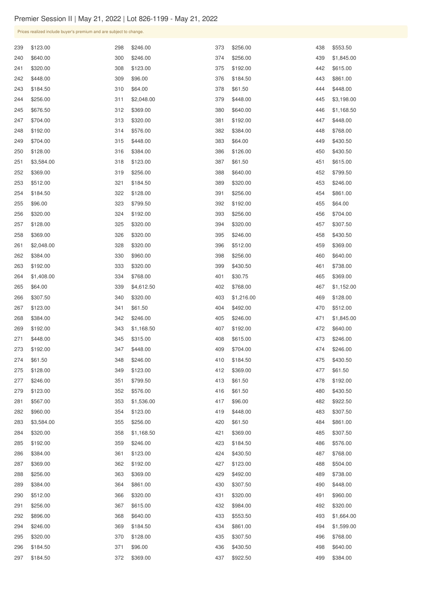| 239 | \$123.00   | 298 | \$246.00   | 373 | \$256.00   | 438 | \$553.50   |
|-----|------------|-----|------------|-----|------------|-----|------------|
| 240 | \$640.00   | 300 | \$246.00   | 374 | \$256.00   | 439 | \$1,845.00 |
| 241 | \$320.00   | 308 | \$123.00   | 375 | \$192.00   | 442 | \$615.00   |
| 242 | \$448.00   | 309 | \$96.00    | 376 | \$184.50   | 443 | \$861.00   |
| 243 | \$184.50   | 310 | \$64.00    | 378 | \$61.50    | 444 | \$448.00   |
| 244 | \$256.00   | 311 | \$2,048.00 | 379 | \$448.00   | 445 | \$3,198.00 |
| 245 | \$676.50   | 312 | \$369.00   | 380 | \$640.00   | 446 | \$1,168.50 |
| 247 | \$704.00   | 313 | \$320.00   | 381 | \$192.00   | 447 | \$448.00   |
| 248 | \$192.00   | 314 | \$576.00   | 382 | \$384.00   | 448 | \$768.00   |
| 249 | \$704.00   | 315 | \$448.00   | 383 | \$64.00    | 449 | \$430.50   |
| 250 | \$128.00   | 316 | \$384.00   | 386 | \$126.00   | 450 | \$430.50   |
| 251 | \$3,584.00 | 318 | \$123.00   | 387 | \$61.50    | 451 | \$615.00   |
| 252 | \$369.00   | 319 | \$256.00   | 388 | \$640.00   | 452 | \$799.50   |
| 253 | \$512.00   | 321 | \$184.50   | 389 | \$320.00   | 453 | \$246.00   |
| 254 | \$184.50   | 322 | \$128.00   | 391 | \$256.00   | 454 | \$861.00   |
| 255 | \$96.00    | 323 | \$799.50   | 392 | \$192.00   | 455 | \$64.00    |
| 256 | \$320.00   | 324 | \$192.00   | 393 | \$256.00   | 456 | \$704.00   |
| 257 | \$128.00   | 325 | \$320.00   | 394 | \$320.00   | 457 | \$307.50   |
| 258 | \$369.00   | 326 | \$320.00   | 395 | \$246.00   | 458 | \$430.50   |
| 261 | \$2,048.00 | 328 | \$320.00   | 396 | \$512.00   | 459 | \$369.00   |
| 262 | \$384.00   | 330 | \$960.00   | 398 | \$256.00   | 460 | \$640.00   |
| 263 | \$192.00   | 333 | \$320.00   | 399 | \$430.50   | 461 | \$738.00   |
| 264 | \$1,408.00 | 334 | \$768.00   | 401 | \$30.75    | 465 | \$369.00   |
| 265 | \$64.00    | 339 | \$4,612.50 | 402 | \$768.00   | 467 | \$1,152.00 |
| 266 | \$307.50   | 340 | \$320.00   | 403 | \$1,216.00 | 469 | \$128.00   |
| 267 | \$123.00   | 341 | \$61.50    | 404 | \$492.00   | 470 | \$512.00   |
| 268 | \$384.00   | 342 | \$246.00   | 405 | \$246.00   | 471 | \$1,845.00 |
| 269 | \$192.00   | 343 | \$1,168.50 | 407 | \$192.00   | 472 | \$640.00   |
| 271 | \$448.00   | 345 | \$315.00   | 408 | \$615.00   | 473 | \$246.00   |
| 273 | \$192.00   | 347 | \$448.00   | 409 | \$704.00   | 474 | \$246.00   |
| 274 | \$61.50    | 348 | \$246.00   | 410 | \$184.50   | 475 | \$430.50   |
| 275 | \$128.00   | 349 | \$123.00   | 412 | \$369.00   | 477 | \$61.50    |
| 277 | \$246.00   | 351 | \$799.50   | 413 | \$61.50    | 478 | \$192.00   |
| 279 | \$123.00   | 352 | \$576.00   | 416 | \$61.50    | 480 | \$430.50   |
| 281 | \$567.00   | 353 | \$1,536.00 | 417 | \$96.00    | 482 | \$922.50   |
| 282 | \$960.00   | 354 | \$123.00   | 419 | \$448.00   | 483 | \$307.50   |
| 283 | \$3,584.00 | 355 | \$256.00   | 420 | \$61.50    | 484 | \$861.00   |
| 284 | \$320.00   | 358 | \$1,168.50 | 421 | \$369.00   | 485 | \$307.50   |
| 285 | \$192.00   | 359 | \$246.00   | 423 | \$184.50   | 486 | \$576.00   |
| 286 | \$384.00   | 361 | \$123.00   | 424 | \$430.50   | 487 | \$768.00   |
| 287 | \$369.00   | 362 | \$192.00   | 427 | \$123.00   | 488 | \$504.00   |
| 288 | \$256.00   | 363 | \$369.00   | 429 | \$492.00   | 489 | \$738.00   |
| 289 | \$384.00   | 364 | \$861.00   | 430 | \$307.50   | 490 | \$448.00   |
| 290 | \$512.00   | 366 | \$320.00   | 431 | \$320.00   | 491 | \$960.00   |
| 291 | \$256.00   | 367 | \$615.00   | 432 | \$984.00   | 492 | \$320.00   |
| 292 | \$896.00   | 368 | \$640.00   | 433 | \$553.50   | 493 | \$1,664.00 |
| 294 | \$246.00   | 369 | \$184.50   | 434 | \$861.00   | 494 | \$1,599.00 |
| 295 | \$320.00   | 370 | \$128.00   | 435 | \$307.50   | 496 | \$768.00   |
| 296 | \$184.50   | 371 | \$96.00    | 436 | \$430.50   | 498 | \$640.00   |
| 297 | \$184.50   | 372 | \$369.00   | 437 | \$922.50   | 499 | \$384.00   |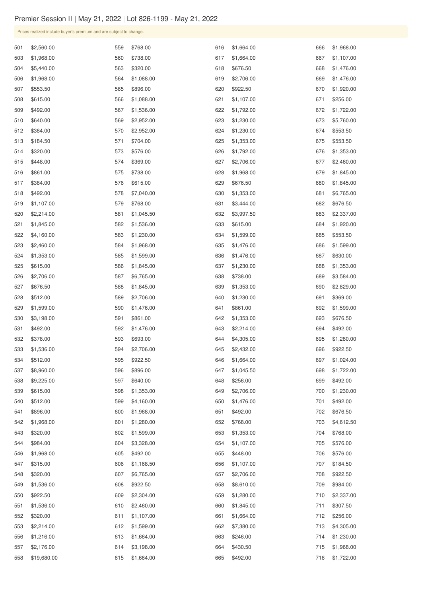| 501 | \$2,560.00  | 559 | \$768.00   | 616 | \$1,664.00 | 666 | \$1,968.00 |
|-----|-------------|-----|------------|-----|------------|-----|------------|
| 503 | \$1,968.00  | 560 | \$738.00   | 617 | \$1,664.00 | 667 | \$1,107.00 |
| 504 | \$5,440.00  | 563 | \$320.00   | 618 | \$676.50   | 668 | \$1,476.00 |
| 506 | \$1,968.00  | 564 | \$1,088.00 | 619 | \$2,706.00 | 669 | \$1,476.00 |
| 507 | \$553.50    | 565 | \$896.00   | 620 | \$922.50   | 670 | \$1,920.00 |
| 508 | \$615.00    | 566 | \$1,088.00 | 621 | \$1,107.00 | 671 | \$256.00   |
| 509 | \$492.00    | 567 | \$1,536.00 | 622 | \$1,792.00 | 672 | \$1,722.00 |
| 510 | \$640.00    | 569 | \$2,952.00 | 623 | \$1,230.00 | 673 | \$5,760.00 |
| 512 | \$384.00    | 570 | \$2,952.00 | 624 | \$1,230.00 | 674 | \$553.50   |
| 513 | \$184.50    | 571 | \$704.00   | 625 | \$1,353.00 | 675 | \$553.50   |
| 514 | \$320.00    | 573 | \$576.00   | 626 | \$1,792.00 | 676 | \$1,353.00 |
| 515 | \$448.00    | 574 | \$369.00   | 627 | \$2,706.00 | 677 | \$2,460.00 |
| 516 | \$861.00    | 575 | \$738.00   | 628 | \$1,968.00 | 679 | \$1,845.00 |
| 517 | \$384.00    | 576 | \$615.00   | 629 | \$676.50   | 680 | \$1,845.00 |
| 518 | \$492.00    | 578 | \$7,040.00 | 630 | \$1,353.00 | 681 | \$6,765.00 |
| 519 | \$1,107.00  | 579 | \$768.00   | 631 | \$3,444.00 | 682 | \$676.50   |
| 520 | \$2,214.00  | 581 | \$1,045.50 | 632 | \$3,997.50 | 683 | \$2,337.00 |
| 521 | \$1,845.00  | 582 | \$1,536.00 | 633 | \$615.00   | 684 | \$1,920.00 |
| 522 | \$4,160.00  | 583 | \$1,230.00 | 634 | \$1,599.00 | 685 | \$553.50   |
| 523 | \$2,460.00  | 584 | \$1,968.00 | 635 | \$1,476.00 | 686 | \$1,599.00 |
| 524 | \$1,353.00  | 585 | \$1,599.00 | 636 | \$1,476.00 | 687 | \$630.00   |
| 525 | \$615.00    | 586 | \$1,845.00 | 637 | \$1,230.00 | 688 | \$1,353.00 |
| 526 | \$2,706.00  | 587 | \$6,765.00 | 638 | \$738.00   | 689 | \$3,584.00 |
| 527 | \$676.50    | 588 | \$1,845.00 | 639 | \$1,353.00 | 690 | \$2,829.00 |
| 528 | \$512.00    | 589 | \$2,706.00 | 640 | \$1,230.00 | 691 | \$369.00   |
| 529 | \$1,599.00  | 590 | \$1,476.00 | 641 | \$861.00   | 692 | \$1,599.00 |
| 530 | \$3,198.00  | 591 | \$861.00   | 642 | \$1,353.00 | 693 | \$676.50   |
| 531 | \$492.00    | 592 | \$1,476.00 | 643 | \$2,214.00 | 694 | \$492.00   |
| 532 | \$378.00    | 593 | \$693.00   | 644 | \$4,305.00 | 695 | \$1,280.00 |
| 533 | \$1,536.00  | 594 | \$2,706.00 | 645 | \$2,432.00 | 696 | \$922.50   |
| 534 | \$512.00    | 595 | \$922.50   | 646 | \$1,664.00 | 697 | \$1,024.00 |
| 537 | \$8,960.00  | 596 | \$896.00   | 647 | \$1,045.50 | 698 | \$1,722.00 |
| 538 | \$9,225.00  | 597 | \$640.00   | 648 | \$256.00   | 699 | \$492.00   |
| 539 | \$615.00    | 598 | \$1,353.00 | 649 | \$2,706.00 | 700 | \$1,230.00 |
| 540 | \$512.00    | 599 | \$4,160.00 | 650 | \$1,476.00 | 701 | \$492.00   |
| 541 | \$896.00    | 600 | \$1,968.00 | 651 | \$492.00   | 702 | \$676.50   |
| 542 | \$1,968.00  | 601 | \$1,280.00 | 652 | \$768.00   | 703 | \$4,612.50 |
| 543 | \$320.00    | 602 | \$1,599.00 | 653 | \$1,353.00 | 704 | \$768.00   |
| 544 | \$984.00    | 604 | \$3,328.00 | 654 | \$1,107.00 | 705 | \$576.00   |
| 546 | \$1,968.00  | 605 | \$492.00   | 655 | \$448.00   | 706 | \$576.00   |
| 547 | \$315.00    | 606 | \$1,168.50 | 656 | \$1,107.00 | 707 | \$184.50   |
| 548 | \$320.00    |     |            |     |            | 708 | \$922.50   |
|     |             | 607 | \$6,765.00 | 657 | \$2,706.00 |     |            |
| 549 | \$1,536.00  | 608 | \$922.50   | 658 | \$8,610.00 | 709 | \$984.00   |
| 550 | \$922.50    | 609 | \$2,304.00 | 659 | \$1,280.00 | 710 | \$2,337.00 |
| 551 | \$1,536.00  | 610 | \$2,460.00 | 660 | \$1,845.00 | 711 | \$307.50   |
| 552 | \$320.00    | 611 | \$1,107.00 | 661 | \$1,664.00 | 712 | \$256.00   |
| 553 | \$2,214.00  | 612 | \$1,599.00 | 662 | \$7,380.00 | 713 | \$4,305.00 |
| 556 | \$1,216.00  | 613 | \$1,664.00 | 663 | \$246.00   | 714 | \$1,230.00 |
| 557 | \$2,176.00  | 614 | \$3,198.00 | 664 | \$430.50   | 715 | \$1,968.00 |
| 558 | \$19,680.00 | 615 | \$1,664.00 | 665 | \$492.00   | 716 | \$1,722.00 |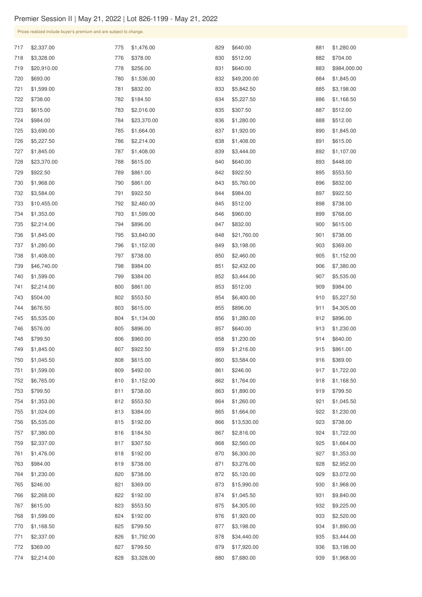| 717 | \$2,337.00  | 775 | \$1,476.00  | 829 | \$640.00    | 881 | \$1,280.00   |
|-----|-------------|-----|-------------|-----|-------------|-----|--------------|
| 718 | \$3,328.00  | 776 | \$378.00    | 830 | \$512.00    | 882 | \$704.00     |
| 719 | \$20,910.00 | 778 | \$256.00    | 831 | \$640.00    | 883 | \$984,000.00 |
| 720 | \$693.00    | 780 | \$1,536.00  | 832 | \$49,200.00 | 884 | \$1,845.00   |
| 721 | \$1,599.00  | 781 | \$832.00    | 833 | \$5,842.50  | 885 | \$3,198.00   |
| 722 | \$738.00    | 782 | \$184.50    | 834 | \$5,227.50  | 886 | \$1,168.50   |
| 723 | \$615.00    | 783 | \$2,016.00  | 835 | \$307.50    | 887 | \$512.00     |
| 724 | \$984.00    | 784 | \$23,370.00 | 836 | \$1,280.00  | 888 | \$512.00     |
| 725 | \$3,690.00  | 785 | \$1,664.00  | 837 | \$1,920.00  | 890 | \$1,845.00   |
| 726 | \$5,227.50  | 786 | \$2,214.00  | 838 | \$1,408.00  | 891 | \$615.00     |
| 727 | \$1,845.00  | 787 | \$1,408.00  | 839 | \$3,444.00  | 892 | \$1,107.00   |
| 728 | \$23,370.00 | 788 | \$615.00    | 840 | \$640.00    | 893 | \$448.00     |
| 729 | \$922.50    | 789 | \$861.00    | 842 | \$922.50    | 895 | \$553.50     |
| 730 | \$1,968.00  | 790 | \$861.00    | 843 | \$5,760.00  | 896 | \$832.00     |
| 732 | \$3,584.00  | 791 | \$922.50    | 844 | \$984.00    | 897 | \$922.50     |
| 733 | \$10,455.00 | 792 | \$2,460.00  | 845 | \$512.00    | 898 | \$738.00     |
| 734 | \$1,353.00  | 793 | \$1,599.00  | 846 | \$960.00    | 899 | \$768.00     |
| 735 | \$2,214.00  | 794 | \$896.00    | 847 | \$832.00    | 900 | \$615.00     |
| 736 | \$1,845.00  | 795 | \$3,840.00  | 848 | \$21,760.00 | 901 | \$738.00     |
| 737 | \$1,280.00  | 796 | \$1,152.00  | 849 | \$3,198.00  | 903 | \$369.00     |
| 738 | \$1,408.00  | 797 | \$738.00    | 850 | \$2,460.00  | 905 | \$1,152.00   |
| 739 | \$46,740.00 | 798 | \$984.00    | 851 | \$2,432.00  | 906 | \$7,380.00   |
| 740 | \$1,599.00  | 799 | \$384.00    | 852 | \$3,444.00  | 907 | \$5,535.00   |
| 741 | \$2,214.00  | 800 | \$861.00    | 853 | \$512.00    | 909 | \$984.00     |
| 743 | \$504.00    | 802 | \$553.50    | 854 | \$6,400.00  | 910 | \$5,227.50   |
| 744 | \$676.50    | 803 | \$615.00    | 855 | \$896.00    | 911 | \$4,305.00   |
| 745 | \$5,535.00  | 804 | \$1,134.00  | 856 | \$1,280.00  | 912 | \$896.00     |
| 746 | \$576.00    | 805 | \$896.00    | 857 | \$640.00    | 913 | \$1,230.00   |
| 748 | \$799.50    | 806 | \$960.00    | 858 | \$1,230.00  | 914 | \$640.00     |
| 749 | \$1,845.00  | 807 | \$922.50    | 859 | \$1,216.00  | 915 | \$861.00     |
| 750 | \$1,045.50  | 808 | \$615.00    | 860 | \$3,584.00  | 916 | \$369.00     |
| 751 | \$1,599.00  | 809 | \$492.00    | 861 | \$246.00    | 917 | \$1,722.00   |
| 752 | \$6,765.00  | 810 | \$1,152.00  | 862 | \$1,764.00  | 918 | \$1,168.50   |
| 753 | \$799.50    | 811 | \$738.00    | 863 | \$1,890.00  | 919 | \$799.50     |
| 754 | \$1,353.00  | 812 | \$553.50    | 864 | \$1,260.00  | 921 | \$1,045.50   |
| 755 | \$1,024.00  | 813 | \$384.00    | 865 | \$1,664.00  | 922 | \$1,230.00   |
| 756 | \$5,535.00  | 815 | \$192.00    | 866 | \$13,530.00 | 923 | \$738.00     |
| 757 | \$7,380.00  | 816 | \$184.50    | 867 | \$2,816.00  | 924 | \$1,722.00   |
| 759 | \$2,337.00  | 817 | \$307.50    | 868 | \$2,560.00  | 925 | \$1,664.00   |
| 761 | \$1,476.00  | 818 | \$192.00    | 870 | \$6,300.00  | 927 | \$1,353.00   |
| 763 | \$984.00    | 819 | \$738.00    | 871 | \$3,276.00  | 928 | \$2,952.00   |
| 764 | \$1,230.00  | 820 | \$738.00    | 872 | \$5,120.00  | 929 | \$3,072.00   |
| 765 | \$246.00    | 821 | \$369.00    | 873 | \$15,990.00 | 930 | \$1,968.00   |
| 766 | \$2,268.00  | 822 | \$192.00    | 874 | \$1,045.50  | 931 | \$9,840.00   |
| 767 | \$615.00    | 823 | \$553.50    | 875 | \$4,305.00  | 932 | \$9,225.00   |
| 768 | \$1,599.00  | 824 | \$192.00    | 876 | \$1,920.00  | 933 | \$2,520.00   |
| 770 | \$1,168.50  | 825 | \$799.50    | 877 | \$3,198.00  | 934 | \$1,890.00   |
| 771 | \$2,337.00  | 826 | \$1,792.00  | 878 | \$34,440.00 | 935 | \$3,444.00   |
| 772 | \$369.00    | 827 | \$799.50    | 879 | \$17,920.00 | 936 | \$3,198.00   |
| 774 | \$2,214.00  | 828 | \$3,328.00  | 880 | \$7,680.00  | 939 | \$1,968.00   |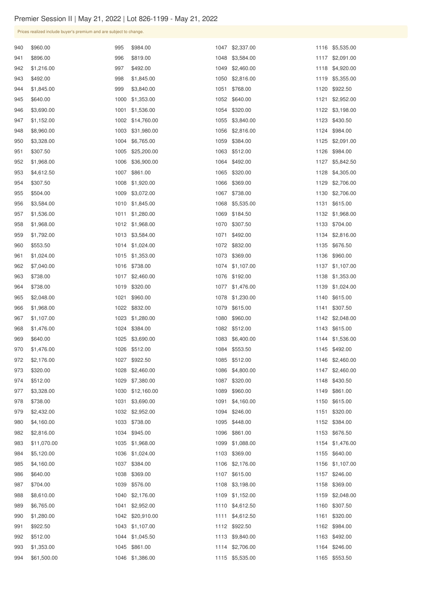| 940 | \$960.00    | 995  | \$984.00        | 1047 | \$2,337.00      | 1116 | \$5,535.00      |
|-----|-------------|------|-----------------|------|-----------------|------|-----------------|
| 941 | \$896.00    | 996  | \$819.00        | 1048 | \$3,584.00      | 1117 | \$2,091.00      |
| 942 | \$1,216.00  | 997  | \$492.00        | 1049 | \$2,460.00      | 1118 | \$4,920.00      |
| 943 | \$492.00    | 998  | \$1,845.00      | 1050 | \$2,816.00      | 1119 | \$5,355.00      |
| 944 | \$1,845.00  | 999  | \$3,840.00      | 1051 | \$768.00        | 1120 | \$922.50        |
| 945 | \$640.00    | 1000 | \$1,353.00      | 1052 | \$640.00        | 1121 | \$2,952.00      |
| 946 | \$3,690.00  | 1001 | \$1,536.00      | 1054 | \$320.00        | 1122 | \$3,198.00      |
| 947 | \$1,152.00  | 1002 | \$14,760.00     | 1055 | \$3,840.00      | 1123 | \$430.50        |
| 948 | \$8,960.00  | 1003 | \$31,980.00     | 1056 | \$2,816.00      | 1124 | \$984.00        |
| 950 | \$3,328.00  | 1004 | \$6,765.00      | 1059 | \$384.00        | 1125 | \$2,091.00      |
| 951 | \$307.50    | 1005 | \$25,200.00     | 1063 | \$512.00        | 1126 | \$984.00        |
| 952 | \$1,968.00  | 1006 | \$36,900.00     | 1064 | \$492.00        | 1127 | \$5,842.50      |
| 953 | \$4,612.50  | 1007 | \$861.00        | 1065 | \$320.00        | 1128 | \$4,305.00      |
| 954 | \$307.50    | 1008 | \$1,920.00      | 1066 | \$369.00        | 1129 | \$2,706.00      |
| 955 | \$504.00    | 1009 | \$3,072.00      | 1067 | \$738.00        | 1130 | \$2,706.00      |
| 956 | \$3,584.00  | 1010 | \$1,845.00      | 1068 | \$5,535.00      | 1131 | \$615.00        |
| 957 | \$1,536.00  | 1011 | \$1,280.00      | 1069 | \$184.50        | 1132 | \$1,968.00      |
| 958 | \$1,968.00  | 1012 | \$1,968.00      | 1070 | \$307.50        | 1133 | \$704.00        |
| 959 | \$1,792.00  | 1013 | \$3,584.00      | 1071 | \$492.00        | 1134 | \$2,816.00      |
| 960 | \$553.50    | 1014 | \$1,024.00      | 1072 | \$832.00        | 1135 | \$676.50        |
| 961 | \$1,024.00  | 1015 | \$1,353.00      |      | 1073 \$369.00   | 1136 | \$960.00        |
| 962 | \$7,040.00  |      | 1016 \$738.00   |      | 1074 \$1,107.00 |      | 1137 \$1,107.00 |
| 963 | \$738.00    |      | 1017 \$2,460.00 |      | 1076 \$192.00   | 1138 | \$1,353.00      |
| 964 | \$738.00    |      | 1019 \$320.00   | 1077 | \$1,476.00      | 1139 | \$1,024.00      |
| 965 | \$2,048.00  |      | 1021 \$960.00   | 1078 | \$1,230.00      | 1140 | \$615.00        |
| 966 | \$1,968.00  |      | 1022 \$832.00   | 1079 | \$615.00        | 1141 | \$307.50        |
| 967 | \$1,107.00  | 1023 | \$1,280.00      | 1080 | \$960.00        |      | 1142 \$2,048.00 |
| 968 | \$1,476.00  |      | 1024 \$384.00   |      | 1082 \$512.00   | 1143 | \$615.00        |
| 969 | \$640.00    | 1025 | \$3,690.00      | 1083 | \$6,400.00      | 1144 | \$1,536.00      |
| 970 | \$1,476.00  |      | 1026 \$512.00   | 1084 | \$553.50        | 1145 | \$492.00        |
| 972 | \$2,176.00  |      | 1027 \$922.50   | 1085 | \$512.00        | 1146 | \$2,460.00      |
| 973 | \$320.00    |      | 1028 \$2,460.00 | 1086 | \$4,800.00      | 1147 | \$2,460.00      |
| 974 | \$512.00    | 1029 | \$7,380.00      | 1087 | \$320.00        | 1148 | \$430.50        |
| 977 | \$3,328.00  | 1030 | \$12,160.00     | 1089 | \$960.00        | 1149 | \$861.00        |
| 978 | \$738.00    | 1031 | \$3,690.00      | 1091 | \$4,160.00      | 1150 | \$615.00        |
| 979 | \$2,432.00  |      | 1032 \$2,952.00 | 1094 | \$246.00        | 1151 | \$320.00        |
| 980 | \$4,160.00  |      | 1033 \$738.00   | 1095 | \$448.00        |      | 1152 \$384.00   |
| 982 | \$2,816.00  |      | 1034 \$945.00   | 1096 | \$861.00        | 1153 | \$676.50        |
| 983 | \$11,070.00 |      | 1035 \$1,968.00 | 1099 | \$1,088.00      | 1154 | \$1,476.00      |
| 984 | \$5,120.00  |      | 1036 \$1,024.00 | 1103 | \$369.00        | 1155 | \$640.00        |
| 985 | \$4,160.00  |      | 1037 \$384.00   | 1106 | \$2,176.00      | 1156 | \$1,107.00      |
| 986 | \$640.00    | 1038 | \$369.00        | 1107 | \$615.00        | 1157 | \$246.00        |
| 987 | \$704.00    |      | 1039 \$576.00   |      | 1108 \$3,198.00 |      | 1158 \$369.00   |
| 988 | \$8,610.00  |      | 1040 \$2,176.00 |      | 1109 \$1,152.00 | 1159 | \$2,048.00      |
| 989 | \$6,765.00  | 1041 | \$2,952.00      |      | 1110 \$4,612.50 | 1160 | \$307.50        |
| 990 | \$1,280.00  | 1042 | \$20,910.00     | 1111 | \$4,612.50      | 1161 | \$320.00        |
| 991 | \$922.50    | 1043 | \$1,107.00      |      | 1112 \$922.50   | 1162 | \$984.00        |
| 992 | \$512.00    |      | 1044 \$1,045.50 | 1113 | \$9,840.00      | 1163 | \$492.00        |
| 993 | \$1,353.00  |      | 1045 \$861.00   |      | 1114 \$2,706.00 |      | 1164 \$246.00   |
| 994 | \$61,500.00 |      | 1046 \$1,386.00 | 1115 | \$5,535.00      | 1165 | \$553.50        |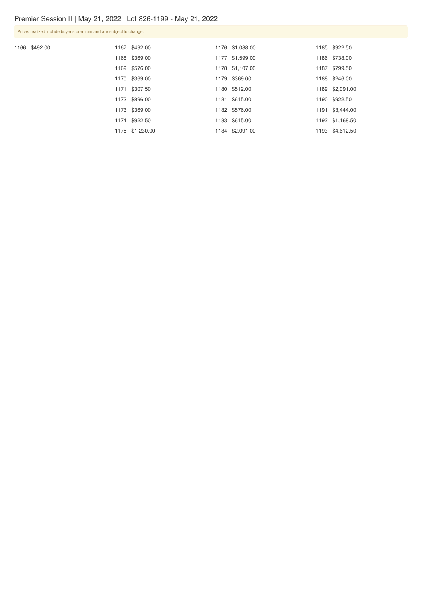1166 \$492.00

|  | 1167 \$492.00   | 1176 \$1,088.00 | 1185 \$922.50   |
|--|-----------------|-----------------|-----------------|
|  | 1168 \$369.00   | 1177 \$1,599.00 | 1186 \$738.00   |
|  | 1169 \$576.00   | 1178 \$1,107.00 | 1187 \$799.50   |
|  | 1170 \$369.00   | 1179 \$369.00   | 1188 \$246.00   |
|  | 1171 \$307.50   | 1180 \$512.00   | 1189 \$2,091.00 |
|  | 1172 \$896.00   | 1181 \$615.00   | 1190 \$922.50   |
|  | 1173 \$369.00   | 1182 \$576.00   | 1191 \$3,444.00 |
|  | 1174 \$922.50   | 1183 \$615.00   | 1192 \$1,168.50 |
|  | 1175 \$1,230.00 | 1184 \$2,091.00 | 1193 \$4,612.50 |